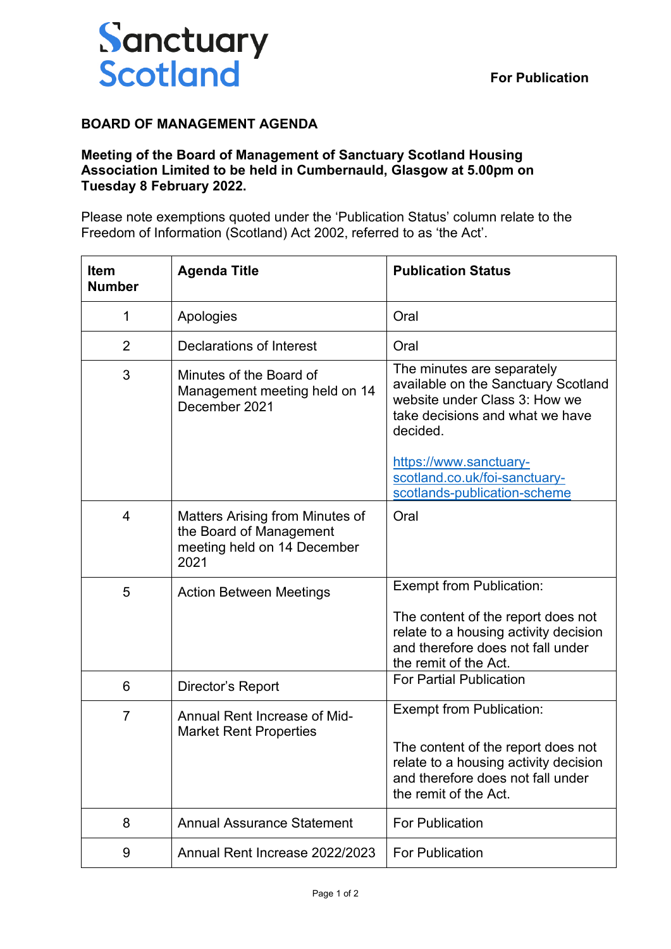

## **BOARD OF MANAGEMENT AGENDA**

## **Meeting of the Board of Management of Sanctuary Scotland Housing Association Limited to be held in Cumbernauld, Glasgow at 5.00pm on Tuesday 8 February 2022.**

Please note exemptions quoted under the 'Publication Status' column relate to the Freedom of Information (Scotland) Act 2002, referred to as 'the Act'.

| <b>Item</b><br><b>Number</b> | <b>Agenda Title</b>                                                                               | <b>Publication Status</b>                                                                                                                                                    |
|------------------------------|---------------------------------------------------------------------------------------------------|------------------------------------------------------------------------------------------------------------------------------------------------------------------------------|
| 1                            | Apologies                                                                                         | Oral                                                                                                                                                                         |
| $\overline{2}$               | <b>Declarations of Interest</b>                                                                   | Oral                                                                                                                                                                         |
| 3                            | Minutes of the Board of<br>Management meeting held on 14<br>December 2021                         | The minutes are separately<br>available on the Sanctuary Scotland<br>website under Class 3: How we<br>take decisions and what we have<br>decided.                            |
|                              |                                                                                                   | https://www.sanctuary-<br>scotland.co.uk/foi-sanctuary-<br>scotlands-publication-scheme                                                                                      |
| 4                            | Matters Arising from Minutes of<br>the Board of Management<br>meeting held on 14 December<br>2021 | Oral                                                                                                                                                                         |
| 5                            | <b>Action Between Meetings</b>                                                                    | <b>Exempt from Publication:</b><br>The content of the report does not<br>relate to a housing activity decision<br>and therefore does not fall under<br>the remit of the Act. |
| 6                            | Director's Report                                                                                 | <b>For Partial Publication</b>                                                                                                                                               |
| $\overline{7}$               | Annual Rent Increase of Mid-<br><b>Market Rent Properties</b>                                     | <b>Exempt from Publication:</b><br>The content of the report does not<br>relate to a housing activity decision<br>and therefore does not fall under<br>the remit of the Act. |
| 8                            | <b>Annual Assurance Statement</b>                                                                 | <b>For Publication</b>                                                                                                                                                       |
| 9                            | Annual Rent Increase 2022/2023                                                                    | <b>For Publication</b>                                                                                                                                                       |